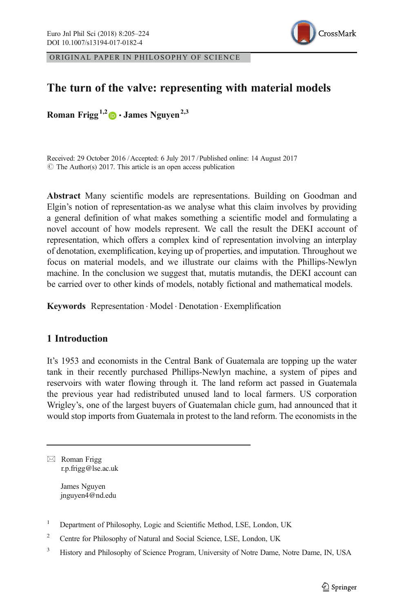

<span id="page-0-0"></span>ORIGINAL PAPER IN PHILOSOPHY OF SCIENCE

# The turn of the valve: representing with material models

Roman Frigg<sup>1,2</sup>  $\bullet$  James Nguyen<sup>2,3</sup>

Received: 29 October 2016 /Accepted: 6 July 2017 / Published online: 14 August 2017  $\circ$  The Author(s) 2017. This article is an open access publication

Abstract Many scientific models are representations. Building on Goodman and Elgin's notion of representation-as we analyse what this claim involves by providing a general definition of what makes something a scientific model and formulating a novel account of how models represent. We call the result the DEKI account of representation, which offers a complex kind of representation involving an interplay of denotation, exemplification, keying up of properties, and imputation. Throughout we focus on material models, and we illustrate our claims with the Phillips-Newlyn machine. In the conclusion we suggest that, mutatis mutandis, the DEKI account can be carried over to other kinds of models, notably fictional and mathematical models.

Keywords Representation . Model . Denotation . Exemplification

## 1 Introduction

It's 1953 and economists in the Central Bank of Guatemala are topping up the water tank in their recently purchased Phillips-Newlyn machine, a system of pipes and reservoirs with water flowing through it. The land reform act passed in Guatemala the previous year had redistributed unused land to local farmers. US corporation Wrigley's, one of the largest buyers of Guatemalan chicle gum, had announced that it would stop imports from Guatemala in protest to the land reform. The economists in the

 $\boxtimes$  Roman Frigg [r.p.frigg@lse.ac.uk](mailto:r.p.frigg@lse.ac.uk)

> James Nguyen jnguyen4@nd.edu

- <sup>1</sup> Department of Philosophy, Logic and Scientific Method, LSE, London, UK
- <sup>2</sup> Centre for Philosophy of Natural and Social Science, LSE, London, UK
- <sup>3</sup> History and Philosophy of Science Program, University of Notre Dame, Notre Dame, IN, USA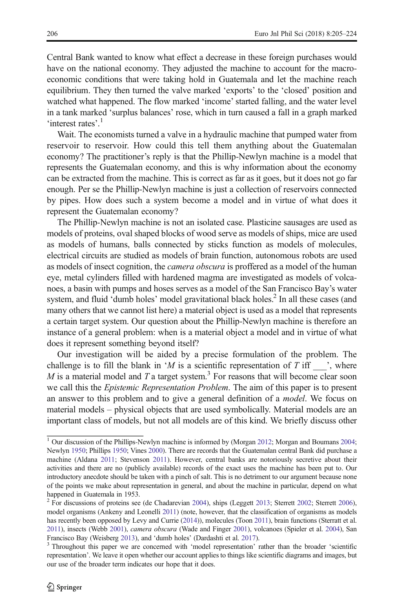Central Bank wanted to know what effect a decrease in these foreign purchases would have on the national economy. They adjusted the machine to account for the macroeconomic conditions that were taking hold in Guatemala and let the machine reach equilibrium. They then turned the valve marked 'exports' to the 'closed' position and watched what happened. The flow marked 'income' started falling, and the water level in a tank marked 'surplus balances' rose, which in turn caused a fall in a graph marked 'interest rates'.<sup>1</sup>

Wait. The economists turned a valve in a hydraulic machine that pumped water from reservoir to reservoir. How could this tell them anything about the Guatemalan economy? The practitioner's reply is that the Phillip-Newlyn machine is a model that represents the Guatemalan economy, and this is why information about the economy can be extracted from the machine. This is correct as far as it goes, but it does not go far enough. Per se the Phillip-Newlyn machine is just a collection of reservoirs connected by pipes. How does such a system become a model and in virtue of what does it represent the Guatemalan economy?

The Phillip-Newlyn machine is not an isolated case. Plasticine sausages are used as models of proteins, oval shaped blocks of wood serve as models of ships, mice are used as models of humans, balls connected by sticks function as models of molecules, electrical circuits are studied as models of brain function, autonomous robots are used as models of insect cognition, the *camera obscura* is proffered as a model of the human eye, metal cylinders filled with hardened magma are investigated as models of volcanoes, a basin with pumps and hoses serves as a model of the San Francisco Bay's water system, and fluid 'dumb holes' model gravitational black holes.<sup>2</sup> In all these cases (and many others that we cannot list here) a material object is used as a model that represents a certain target system. Our question about the Phillip-Newlyn machine is therefore an instance of a general problem: when is a material object a model and in virtue of what does it represent something beyond itself?

Our investigation will be aided by a precise formulation of the problem. The challenge is to fill the blank in 'M is a scientific representation of T iff  $\ldots$ , where M is a material model and T a target system.<sup>3</sup> For reasons that will become clear soon we call this the Epistemic Representation Problem. The aim of this paper is to present an answer to this problem and to give a general definition of a model. We focus on material models – physical objects that are used symbolically. Material models are an important class of models, but not all models are of this kind. We briefly discuss other

 $1$  Our discussion of the Phillips-Newlyn machine is informed by (Morgan [2012;](#page-18-0) Morgan and Boumans [2004](#page-18-0); Newlyn [1950;](#page-18-0) Phillips [1950;](#page-18-0) Vines [2000\)](#page-19-0). There are records that the Guatemalan central Bank did purchase a machine (Aldana [2011](#page-18-0); Stevenson [2011\)](#page-19-0). However, central banks are notoriously secretive about their activities and there are no (publicly available) records of the exact uses the machine has been put to. Our introductory anecdote should be taken with a pinch of salt. This is no detriment to our argument because none of the points we make about representation in general, and about the machine in particular, depend on what happened in Guatemala in 1953.

<sup>&</sup>lt;sup>2</sup> For discussions of proteins see (de Chadarevian [2004\)](#page-18-0), ships (Leggett [2013;](#page-18-0) Sterrett [2002;](#page-19-0) Sterrett [2006\)](#page-19-0), model organisms (Ankeny and Leonelli [2011](#page-18-0)) (note, however, that the classification of organisms as models has recently been opposed by Levy and Currie [\(2014\)](#page-18-0)), molecules (Toon [2011](#page-19-0)), brain functions (Sterratt et al. [2011](#page-19-0)), insects (Webb [2001](#page-19-0)), camera obscura (Wade and Finger [2001](#page-19-0)), volcanoes (Spieler et al. [2004\)](#page-19-0), San Francisco Bay (Weisberg [2013\)](#page-19-0), and 'dumb holes' (Dardashti et al. [2017](#page-18-0)).<br><sup>3</sup> Throughout this paper we are concerned with 'model representation' rather than the broader 'scientific

representation'. We leave it open whether our account applies to things like scientific diagrams and images, but our use of the broader term indicates our hope that it does.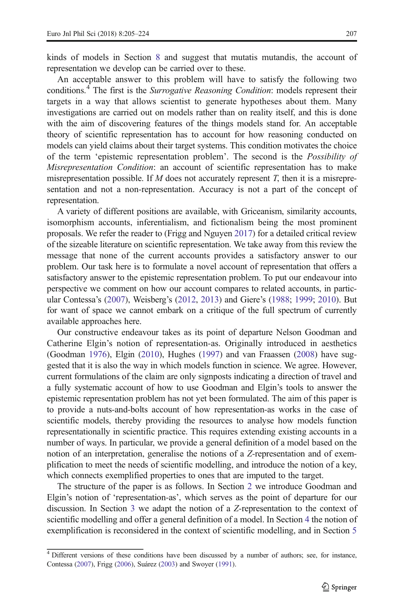kinds of models in Section [8](#page-17-0) and suggest that mutatis mutandis, the account of representation we develop can be carried over to these.

An acceptable answer to this problem will have to satisfy the following two conditions.<sup>4</sup> The first is the *Surrogative Reasoning Condition*: models represent their targets in a way that allows scientist to generate hypotheses about them. Many investigations are carried out on models rather than on reality itself, and this is done with the aim of discovering features of the things models stand for. An acceptable theory of scientific representation has to account for how reasoning conducted on models can yield claims about their target systems. This condition motivates the choice of the term 'epistemic representation problem'. The second is the Possibility of Misrepresentation Condition: an account of scientific representation has to make misrepresentation possible. If  $M$  does not accurately represent  $T$ , then it is a misrepresentation and not a non-representation. Accuracy is not a part of the concept of representation.

A variety of different positions are available, with Griceanism, similarity accounts, isomorphism accounts, inferentialism, and fictionalism being the most prominent proposals. We refer the reader to (Frigg and Nguyen [2017\)](#page-18-0) for a detailed critical review of the sizeable literature on scientific representation. We take away from this review the message that none of the current accounts provides a satisfactory answer to our problem. Our task here is to formulate a novel account of representation that offers a satisfactory answer to the epistemic representation problem. To put our endeavour into perspective we comment on how our account compares to related accounts, in particular Contessa's ([2007](#page-18-0)), Weisberg's ([2012](#page-19-0), [2013](#page-19-0)) and Giere's [\(1988](#page-18-0); [1999](#page-18-0); [2010\)](#page-18-0). But for want of space we cannot embark on a critique of the full spectrum of currently available approaches here.

Our constructive endeavour takes as its point of departure Nelson Goodman and Catherine Elgin's notion of representation-as. Originally introduced in aesthetics (Goodman [1976](#page-18-0)), Elgin ([2010](#page-18-0)), Hughes [\(1997\)](#page-18-0) and van Fraassen ([2008](#page-19-0)) have suggested that it is also the way in which models function in science. We agree. However, current formulations of the claim are only signposts indicating a direction of travel and a fully systematic account of how to use Goodman and Elgin's tools to answer the epistemic representation problem has not yet been formulated. The aim of this paper is to provide a nuts-and-bolts account of how representation-as works in the case of scientific models, thereby providing the resources to analyse how models function representationally in scientific practice. This requires extending existing accounts in a number of ways. In particular, we provide a general definition of a model based on the notion of an interpretation, generalise the notions of a Z-representation and of exemplification to meet the needs of scientific modelling, and introduce the notion of a key, which connects exemplified properties to ones that are imputed to the target.

The structure of the paper is as follows. In Section [2](#page-3-0) we introduce Goodman and Elgin's notion of 'representation-as', which serves as the point of departure for our discussion. In Section [3](#page-6-0) we adapt the notion of a Z-representation to the context of scientific modelling and offer a general definition of a model. In Section [4](#page-10-0) the notion of exemplification is reconsidered in the context of scientific modelling, and in Section [5](#page-12-0)

<sup>4</sup> Different versions of these conditions have been discussed by a number of authors; see, for instance, Contessa ([2007](#page-18-0)), Frigg [\(2006\)](#page-18-0), Suárez [\(2003\)](#page-19-0) and Swoyer [\(1991\)](#page-19-0).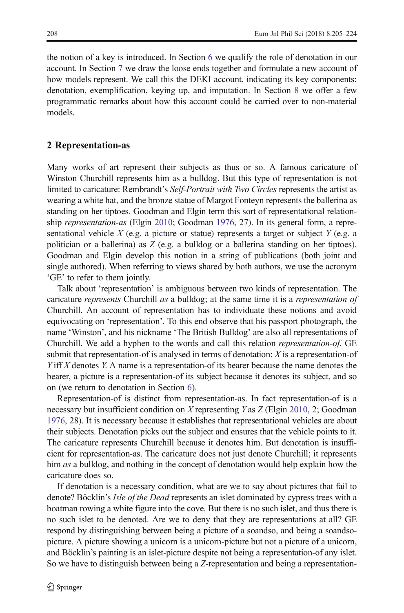<span id="page-3-0"></span>the notion of a key is introduced. In Section [6](#page-14-0) we qualify the role of denotation in our account. In Section [7](#page-14-0) we draw the loose ends together and formulate a new account of how models represent. We call this the DEKI account, indicating its key components: denotation, exemplification, keying up, and imputation. In Section [8](#page-17-0) we offer a few programmatic remarks about how this account could be carried over to non-material models.

## 2 Representation-as

Many works of art represent their subjects as thus or so. A famous caricature of Winston Churchill represents him as a bulldog. But this type of representation is not limited to caricature: Rembrandt's Self-Portrait with Two Circles represents the artist as wearing a white hat, and the bronze statue of Margot Fonteyn represents the ballerina as standing on her tiptoes. Goodman and Elgin term this sort of representational relationship representation-as (Elgin [2010;](#page-18-0) Goodman [1976,](#page-18-0) 27). In its general form, a representational vehicle X (e.g. a picture or statue) represents a target or subject Y (e.g. a politician or a ballerina) as Z (e.g. a bulldog or a ballerina standing on her tiptoes). Goodman and Elgin develop this notion in a string of publications (both joint and single authored). When referring to views shared by both authors, we use the acronym 'GE' to refer to them jointly.

Talk about 'representation' is ambiguous between two kinds of representation. The caricature represents Churchill as a bulldog; at the same time it is a representation of Churchill. An account of representation has to individuate these notions and avoid equivocating on 'representation'. To this end observe that his passport photograph, the name 'Winston', and his nickname 'The British Bulldog' are also all representations of Churchill. We add a hyphen to the words and call this relation representation-of. GE submit that representation-of is analysed in terms of denotation:  $X$  is a representation-of  $Y$  iff  $X$  denotes  $Y$ . A name is a representation-of its bearer because the name denotes the bearer, a picture is a representation-of its subject because it denotes its subject, and so on (we return to denotation in Section [6\)](#page-14-0).

Representation-of is distinct from representation-as. In fact representation-of is a necessary but insufficient condition on X representing Y as Z (Elgin [2010,](#page-18-0) 2; Goodman [1976,](#page-18-0) 28). It is necessary because it establishes that representational vehicles are about their subjects. Denotation picks out the subject and ensures that the vehicle points to it. The caricature represents Churchill because it denotes him. But denotation is insufficient for representation-as. The caricature does not just denote Churchill; it represents him as a bulldog, and nothing in the concept of denotation would help explain how the caricature does so.

If denotation is a necessary condition, what are we to say about pictures that fail to denote? Böcklin's *Isle of the Dead* represents an islet dominated by cypress trees with a boatman rowing a white figure into the cove. But there is no such islet, and thus there is no such islet to be denoted. Are we to deny that they are representations at all? GE respond by distinguishing between being a picture of a soandso, and being a soandsopicture. A picture showing a unicorn is a unicorn-picture but not a picture of a unicorn, and Böcklin's painting is an islet-picture despite not being a representation-of any islet. So we have to distinguish between being a Z-representation and being a representation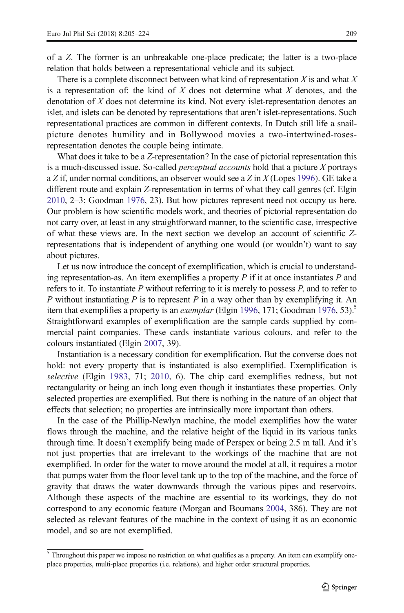of a Z. The former is an unbreakable one-place predicate; the latter is a two-place relation that holds between a representational vehicle and its subject.

There is a complete disconnect between what kind of representation  $X$  is and what  $X$ is a representation of: the kind of  $X$  does not determine what  $X$  denotes, and the denotation of  $X$  does not determine its kind. Not every islet-representation denotes an islet, and islets can be denoted by representations that aren't islet-representations. Such representational practices are common in different contexts. In Dutch still life a snailpicture denotes humility and in Bollywood movies a two-intertwined-rosesrepresentation denotes the couple being intimate.

What does it take to be a Z-representation? In the case of pictorial representation this is a much-discussed issue. So-called *perceptual accounts* hold that a picture X portrays a Z if, under normal conditions, an observer would see a Z in  $X$  (Lopes [1996\)](#page-18-0). GE take a different route and explain Z-representation in terms of what they call genres (cf. Elgin [2010,](#page-18-0) 2–3; Goodman [1976](#page-18-0), 23). But how pictures represent need not occupy us here. Our problem is how scientific models work, and theories of pictorial representation do not carry over, at least in any straightforward manner, to the scientific case, irrespective of what these views are. In the next section we develop an account of scientific Zrepresentations that is independent of anything one would (or wouldn't) want to say about pictures.

Let us now introduce the concept of exemplification, which is crucial to understanding representation-as. An item exemplifies a property  $P$  if it at once instantiates  $P$  and refers to it. To instantiate  $P$  without referring to it is merely to possess  $P$ , and to refer to P without instantiating  $P$  is to represent  $P$  in a way other than by exemplifying it. An item that exemplifies a property is an *exemplar* (Elgin [1996](#page-18-0), 171; Goodman [1976](#page-18-0), 53).<sup>5</sup> Straightforward examples of exemplification are the sample cards supplied by commercial paint companies. These cards instantiate various colours, and refer to the colours instantiated (Elgin [2007](#page-18-0), 39).

Instantiation is a necessary condition for exemplification. But the converse does not hold: not every property that is instantiated is also exemplified. Exemplification is selective (Elgin [1983](#page-18-0), 71; [2010,](#page-18-0) 6). The chip card exemplifies redness, but not rectangularity or being an inch long even though it instantiates these properties. Only selected properties are exemplified. But there is nothing in the nature of an object that effects that selection; no properties are intrinsically more important than others.

In the case of the Phillip-Newlyn machine, the model exemplifies how the water flows through the machine, and the relative height of the liquid in its various tanks through time. It doesn't exemplify being made of Perspex or being 2.5 m tall. And it's not just properties that are irrelevant to the workings of the machine that are not exemplified. In order for the water to move around the model at all, it requires a motor that pumps water from the floor level tank up to the top of the machine, and the force of gravity that draws the water downwards through the various pipes and reservoirs. Although these aspects of the machine are essential to its workings, they do not correspond to any economic feature (Morgan and Boumans [2004](#page-18-0), 386). They are not selected as relevant features of the machine in the context of using it as an economic model, and so are not exemplified.

<sup>&</sup>lt;sup>5</sup> Throughout this paper we impose no restriction on what qualifies as a property. An item can exemplify oneplace properties, multi-place properties (i.e. relations), and higher order structural properties.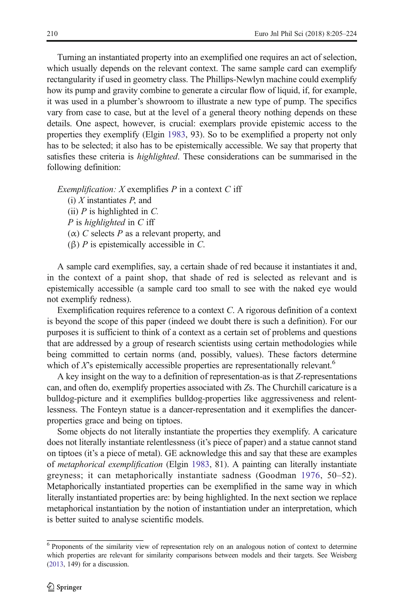Turning an instantiated property into an exemplified one requires an act of selection, which usually depends on the relevant context. The same sample card can exemplify rectangularity if used in geometry class. The Phillips-Newlyn machine could exemplify how its pump and gravity combine to generate a circular flow of liquid, if, for example, it was used in a plumber's showroom to illustrate a new type of pump. The specifics vary from case to case, but at the level of a general theory nothing depends on these details. One aspect, however, is crucial: exemplars provide epistemic access to the properties they exemplify (Elgin [1983,](#page-18-0) 93). So to be exemplified a property not only has to be selected; it also has to be epistemically accessible. We say that property that satisfies these criteria is *highlighted*. These considerations can be summarised in the following definition:

*Exemplification:*  $X$  exemplifies  $P$  in a context  $C$  iff

(i)  $X$  instantiates  $P$ , and (ii)  $P$  is highlighted in  $C$ . P is highlighted in C iff  $(\alpha)$  C selects P as a relevant property, and (β) P is epistemically accessible in C.

A sample card exemplifies, say, a certain shade of red because it instantiates it and, in the context of a paint shop, that shade of red is selected as relevant and is epistemically accessible (a sample card too small to see with the naked eye would not exemplify redness).

Exemplification requires reference to a context C. A rigorous definition of a context is beyond the scope of this paper (indeed we doubt there is such a definition). For our purposes it is sufficient to think of a context as a certain set of problems and questions that are addressed by a group of research scientists using certain methodologies while being committed to certain norms (and, possibly, values). These factors determine which of  $X$ 's epistemically accessible properties are representationally relevant.<sup>6</sup>

A key insight on the way to a definition of representation-as is that Z-representations can, and often do, exemplify properties associated with Zs. The Churchill caricature is a bulldog-picture and it exemplifies bulldog-properties like aggressiveness and relentlessness. The Fonteyn statue is a dancer-representation and it exemplifies the dancerproperties grace and being on tiptoes.

Some objects do not literally instantiate the properties they exemplify. A caricature does not literally instantiate relentlessness (it's piece of paper) and a statue cannot stand on tiptoes (it's a piece of metal). GE acknowledge this and say that these are examples of metaphorical exemplification (Elgin [1983,](#page-18-0) 81). A painting can literally instantiate greyness; it can metaphorically instantiate sadness (Goodman [1976,](#page-18-0) 50–52). Metaphorically instantiated properties can be exemplified in the same way in which literally instantiated properties are: by being highlighted. In the next section we replace metaphorical instantiation by the notion of instantiation under an interpretation, which is better suited to analyse scientific models.

<sup>&</sup>lt;sup>6</sup> Proponents of the similarity view of representation rely on an analogous notion of context to determine which properties are relevant for similarity comparisons between models and their targets. See Weisberg ([2013,](#page-19-0) 149) for a discussion.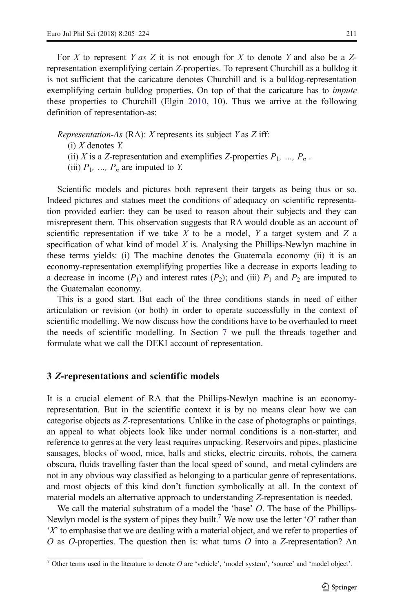<span id="page-6-0"></span>For X to represent Y as Z it is not enough for X to denote Y and also be a Zrepresentation exemplifying certain Z-properties. To represent Churchill as a bulldog it is not sufficient that the caricature denotes Churchill and is a bulldog-representation exemplifying certain bulldog properties. On top of that the caricature has to *impute* these properties to Churchill (Elgin [2010,](#page-18-0) 10). Thus we arrive at the following definition of representation-as:

*Representation-As* (RA): X represents its subject Y as Z iff:

 $(i)$  X denotes Y.

(ii) X is a Z-representation and exemplifies Z-properties  $P_1$ , ...,  $P_n$ .

(iii)  $P_1$ , ...,  $P_n$  are imputed to Y.

Scientific models and pictures both represent their targets as being thus or so. Indeed pictures and statues meet the conditions of adequacy on scientific representation provided earlier: they can be used to reason about their subjects and they can misrepresent them. This observation suggests that RA would double as an account of scientific representation if we take  $X$  to be a model,  $Y$  a target system and  $Z$  a specification of what kind of model  $X$  is. Analysing the Phillips-Newlyn machine in these terms yields: (i) The machine denotes the Guatemala economy (ii) it is an economy-representation exemplifying properties like a decrease in exports leading to a decrease in income  $(P_1)$  and interest rates  $(P_2)$ ; and (iii)  $P_1$  and  $P_2$  are imputed to the Guatemalan economy.

This is a good start. But each of the three conditions stands in need of either articulation or revision (or both) in order to operate successfully in the context of scientific modelling. We now discuss how the conditions have to be overhauled to meet the needs of scientific modelling. In Section [7](#page-14-0) we pull the threads together and formulate what we call the DEKI account of representation.

## 3 Z-representations and scientific models

It is a crucial element of RA that the Phillips-Newlyn machine is an economyrepresentation. But in the scientific context it is by no means clear how we can categorise objects as Z-representations. Unlike in the case of photographs or paintings, an appeal to what objects look like under normal conditions is a non-starter, and reference to genres at the very least requires unpacking. Reservoirs and pipes, plasticine sausages, blocks of wood, mice, balls and sticks, electric circuits, robots, the camera obscura, fluids travelling faster than the local speed of sound, and metal cylinders are not in any obvious way classified as belonging to a particular genre of representations, and most objects of this kind don't function symbolically at all. In the context of material models an alternative approach to understanding Z-representation is needed.

We call the material substratum of a model the 'base' O. The base of the Phillips-Newlyn model is the system of pipes they built.<sup>7</sup> We now use the letter 'O' rather than 'X' to emphasise that we are dealing with a material object, and we refer to properties of O as O-properties. The question then is: what turns O into a Z-representation? An

 $7$  Other terms used in the literature to denote  $O$  are 'vehicle', 'model system', 'source' and 'model object'.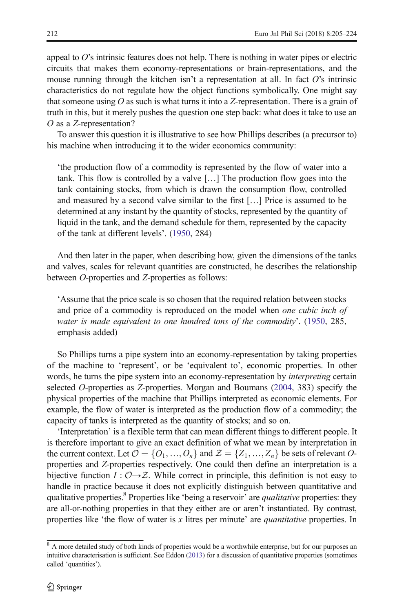appeal to  $O$ 's intrinsic features does not help. There is nothing in water pipes or electric circuits that makes them economy-representations or brain-representations, and the mouse running through the kitchen isn't a representation at all. In fact  $O$ 's intrinsic characteristics do not regulate how the object functions symbolically. One might say that someone using  $O$  as such is what turns it into a Z-representation. There is a grain of truth in this, but it merely pushes the question one step back: what does it take to use an O as a Z-representation?

To answer this question it is illustrative to see how Phillips describes (a precursor to) his machine when introducing it to the wider economics community:

'the production flow of a commodity is represented by the flow of water into a tank. This flow is controlled by a valve […] The production flow goes into the tank containing stocks, from which is drawn the consumption flow, controlled and measured by a second valve similar to the first […] Price is assumed to be determined at any instant by the quantity of stocks, represented by the quantity of liquid in the tank, and the demand schedule for them, represented by the capacity of the tank at different levels'. [\(1950,](#page-18-0) 284)

And then later in the paper, when describing how, given the dimensions of the tanks and valves, scales for relevant quantities are constructed, he describes the relationship between O-properties and Z-properties as follows:

'Assume that the price scale is so chosen that the required relation between stocks and price of a commodity is reproduced on the model when one cubic inch of water is made equivalent to one hundred tons of the commodity'. [\(1950,](#page-18-0) 285, emphasis added)

So Phillips turns a pipe system into an economy-representation by taking properties of the machine to 'represent', or be 'equivalent to', economic properties. In other words, he turns the pipe system into an economy-representation by *interpreting* certain selected O-properties as Z-properties. Morgan and Boumans [\(2004,](#page-18-0) 383) specify the physical properties of the machine that Phillips interpreted as economic elements. For example, the flow of water is interpreted as the production flow of a commodity; the capacity of tanks is interpreted as the quantity of stocks; and so on.

'Interpretation' is a flexible term that can mean different things to different people. It is therefore important to give an exact definition of what we mean by interpretation in the current context. Let  $\mathcal{O} = \{O_1, ..., O_n\}$  and  $\mathcal{Z} = \{Z_1, ..., Z_n\}$  be sets of relevant Oproperties and Z-properties respectively. One could then define an interpretation is a bijective function  $I: \mathcal{O} \rightarrow \mathcal{Z}$ . While correct in principle, this definition is not easy to handle in practice because it does not explicitly distinguish between quantitative and qualitative properties.<sup>8</sup> Properties like 'being a reservoir' are *qualitative* properties: they are all-or-nothing properties in that they either are or aren't instantiated. By contrast, properties like 'the flow of water is  $x$  litres per minute' are *quantitative* properties. In

<sup>&</sup>lt;sup>8</sup> A more detailed study of both kinds of properties would be a worthwhile enterprise, but for our purposes an intuitive characterisation is sufficient. See Eddon [\(2013](#page-18-0)) for a discussion of quantitative properties (sometimes called 'quantities').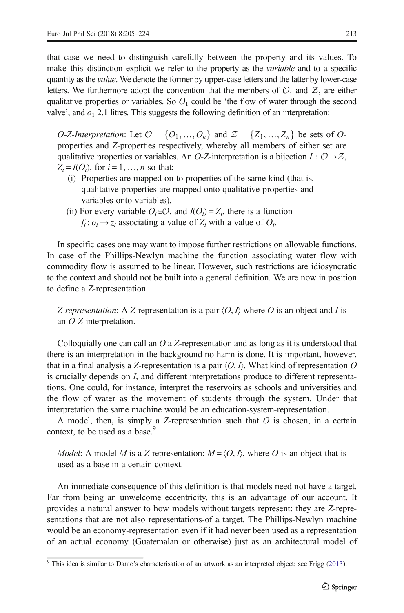that case we need to distinguish carefully between the property and its values. To make this distinction explicit we refer to the property as the *variable* and to a specific quantity as the *value*. We denote the former by upper-case letters and the latter by lower-case letters. We furthermore adopt the convention that the members of  $\mathcal{O}$ , and  $\mathcal{Z}$ , are either qualitative properties or variables. So  $O<sub>1</sub>$  could be 'the flow of water through the second valve', and  $o_1$  2.1 litres. This suggests the following definition of an interpretation:

*O-Z-Interpretation*: Let  $\mathcal{O} = \{O_1, ..., O_n\}$  and  $\mathcal{Z} = \{Z_1, ..., Z_n\}$  be sets of Oproperties and Z-properties respectively, whereby all members of either set are qualitative properties or variables. An O-Z-interpretation is a bijection  $I: \mathcal{O} \rightarrow \mathcal{Z}$ ,  $Z_i = I(O_i)$ , for  $i = 1, \ldots, n$  so that:

- (i) Properties are mapped on to properties of the same kind (that is, qualitative properties are mapped onto qualitative properties and variables onto variables).
- (ii) For every variable  $O_i \in \mathcal{O}$ , and  $I(O_i) = Z_i$ , there is a function  $f_i: o_i \to z_i$  associating a value of  $Z_i$  with a value of  $O_i$ .

In specific cases one may want to impose further restrictions on allowable functions. In case of the Phillips-Newlyn machine the function associating water flow with commodity flow is assumed to be linear. However, such restrictions are idiosyncratic to the context and should not be built into a general definition. We are now in position to define a Z-representation.

*Z-representation*: A *Z*-representation is a pair  $\langle O, I \rangle$  where O is an object and I is an O-Z-interpretation.

Colloquially one can call an  $O$  a  $Z$ -representation and as long as it is understood that there is an interpretation in the background no harm is done. It is important, however, that in a final analysis a Z-representation is a pair  $\langle O, I \rangle$ . What kind of representation O is crucially depends on I, and different interpretations produce to different representations. One could, for instance, interpret the reservoirs as schools and universities and the flow of water as the movement of students through the system. Under that interpretation the same machine would be an education-system-representation.

A model, then, is simply a Z-representation such that  $O$  is chosen, in a certain context, to be used as a base.<sup>9</sup>

*Model:* A model *M* is a *Z*-representation:  $M = \langle O, I \rangle$ , where *O* is an object that is used as a base in a certain context.

An immediate consequence of this definition is that models need not have a target. Far from being an unwelcome eccentricity, this is an advantage of our account. It provides a natural answer to how models without targets represent: they are Z-representations that are not also representations-of a target. The Phillips-Newlyn machine would be an economy-representation even if it had never been used as a representation of an actual economy (Guatemalan or otherwise) just as an architectural model of

<sup>&</sup>lt;sup>9</sup> This idea is similar to Danto's characterisation of an artwork as an interpreted object; see Frigg ([2013](#page-18-0)).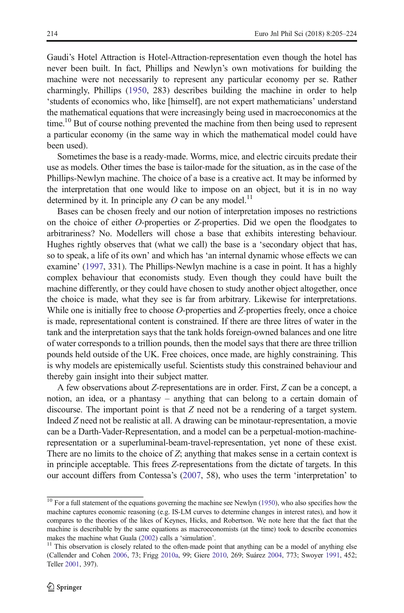Gaudi's Hotel Attraction is Hotel-Attraction-representation even though the hotel has never been built. In fact, Phillips and Newlyn's own motivations for building the machine were not necessarily to represent any particular economy per se. Rather charmingly, Phillips ([1950,](#page-18-0) 283) describes building the machine in order to help 'students of economics who, like [himself], are not expert mathematicians' understand the mathematical equations that were increasingly being used in macroeconomics at the time.<sup>10</sup> But of course nothing prevented the machine from then being used to represent a particular economy (in the same way in which the mathematical model could have been used).

Sometimes the base is a ready-made. Worms, mice, and electric circuits predate their use as models. Other times the base is tailor-made for the situation, as in the case of the Phillips-Newlyn machine. The choice of a base is a creative act. It may be informed by the interpretation that one would like to impose on an object, but it is in no way determined by it. In principle any O can be any model.<sup>11</sup>

Bases can be chosen freely and our notion of interpretation imposes no restrictions on the choice of either O-properties or Z-properties. Did we open the floodgates to arbitrariness? No. Modellers will chose a base that exhibits interesting behaviour. Hughes rightly observes that (what we call) the base is a 'secondary object that has, so to speak, a life of its own' and which has 'an internal dynamic whose effects we can examine' ([1997](#page-18-0), 331). The Phillips-Newlyn machine is a case in point. It has a highly complex behaviour that economists study. Even though they could have built the machine differently, or they could have chosen to study another object altogether, once the choice is made, what they see is far from arbitrary. Likewise for interpretations. While one is initially free to choose *O*-properties and *Z*-properties freely, once a choice is made, representational content is constrained. If there are three litres of water in the tank and the interpretation says that the tank holds foreign-owned balances and one litre of water corresponds to a trillion pounds, then the model says that there are three trillion pounds held outside of the UK. Free choices, once made, are highly constraining. This is why models are epistemically useful. Scientists study this constrained behaviour and thereby gain insight into their subject matter.

A few observations about Z-representations are in order. First, Z can be a concept, a notion, an idea, or a phantasy – anything that can belong to a certain domain of discourse. The important point is that Z need not be a rendering of a target system. Indeed Z need not be realistic at all. A drawing can be minotaur-representation, a movie can be a Darth-Vader-Representation, and a model can be a perpetual-motion-machinerepresentation or a superluminal-beam-travel-representation, yet none of these exist. There are no limits to the choice of Z; anything that makes sense in a certain context is in principle acceptable. This frees Z-representations from the dictate of targets. In this our account differs from Contessa's [\(2007,](#page-18-0) 58), who uses the term 'interpretation' to

 $\frac{10}{10}$  For a full statement of the equations governing the machine see Newlyn [\(1950](#page-18-0)), who also specifies how the machine captures economic reasoning (e.g. IS-LM curves to determine changes in interest rates), and how it compares to the theories of the likes of Keynes, Hicks, and Robertson. We note here that the fact that the machine is describable by the same equations as macroeconomists (at the time) took to describe economies makes the machine what Guala ([2002](#page-18-0)) calls a 'simulation'.<br><sup>11</sup> This observation is closely related to the often-made point that anything can be a model of anything else

<sup>(</sup>Callender and Cohen [2006](#page-18-0), 73; Frigg [2010a](#page-18-0), 99; Giere [2010,](#page-18-0) 269; Suárez [2004,](#page-19-0) 773; Swoyer [1991,](#page-19-0) 452; Teller [2001](#page-19-0), 397).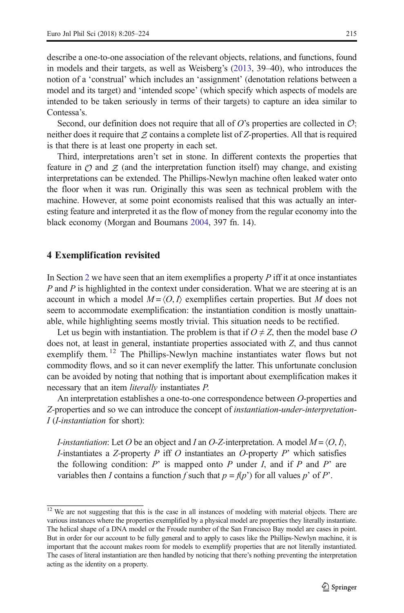<span id="page-10-0"></span>describe a one-to-one association of the relevant objects, relations, and functions, found in models and their targets, as well as Weisberg's [\(2013,](#page-19-0) 39–40), who introduces the notion of a 'construal' which includes an 'assignment' (denotation relations between a model and its target) and 'intended scope' (which specify which aspects of models are intended to be taken seriously in terms of their targets) to capture an idea similar to Contessa's.

Second, our definition does not require that all of O's properties are collected in  $\mathcal{O}$ ; neither does it require that  $Z$  contains a complete list of  $Z$ -properties. All that is required is that there is at least one property in each set.

Third, interpretations aren't set in stone. In different contexts the properties that feature in  $\varphi$  and  $\varphi$  (and the interpretation function itself) may change, and existing interpretations can be extended. The Phillips-Newlyn machine often leaked water onto the floor when it was run. Originally this was seen as technical problem with the machine. However, at some point economists realised that this was actually an interesting feature and interpreted it as the flow of money from the regular economy into the black economy (Morgan and Boumans [2004,](#page-18-0) 397 fn. 14).

### 4 Exemplification revisited

In Section [2](#page-3-0) we have seen that an item exemplifies a property  $P$  iff it at once instantiates P and P is highlighted in the context under consideration. What we are steering at is an account in which a model  $M = \langle O, I \rangle$  exemplifies certain properties. But M does not seem to accommodate exemplification: the instantiation condition is mostly unattainable, while highlighting seems mostly trivial. This situation needs to be rectified.

Let us begin with instantiation. The problem is that if  $O \neq Z$ , then the model base O does not, at least in general, instantiate properties associated with Z, and thus cannot exemplify them.<sup>12</sup> The Phillips-Newlyn machine instantiates water flows but not commodity flows, and so it can never exemplify the latter. This unfortunate conclusion can be avoided by noting that nothing that is important about exemplification makes it necessary that an item *literally* instantiates P.

An interpretation establishes a one-to-one correspondence between O-properties and Z-properties and so we can introduce the concept of instantiation-under-interpretation-I (I-instantiation for short):

*I*-instantiation: Let O be an object and *I* an O-Z-interpretation. A model  $M = \langle O, I \rangle$ , *I*-instantiates a Z-property  $P$  iff  $O$  instantiates an  $O$ -property  $P'$  which satisfies the following condition:  $P'$  is mapped onto  $P$  under  $I$ , and if  $P$  and  $P'$  are variables then I contains a function f such that  $p = f(p')$  for all values p' of P'.

 $\frac{12}{12}$  We are not suggesting that this is the case in all instances of modeling with material objects. There are various instances where the properties exemplified by a physical model are properties they literally instantiate. The helical shape of a DNA model or the Froude number of the San Francisco Bay model are cases in point. But in order for our account to be fully general and to apply to cases like the Phillips-Newlyn machine, it is important that the account makes room for models to exemplify properties that are not literally instantiated. The cases of literal instantiation are then handled by noticing that there's nothing preventing the interpretation acting as the identity on a property.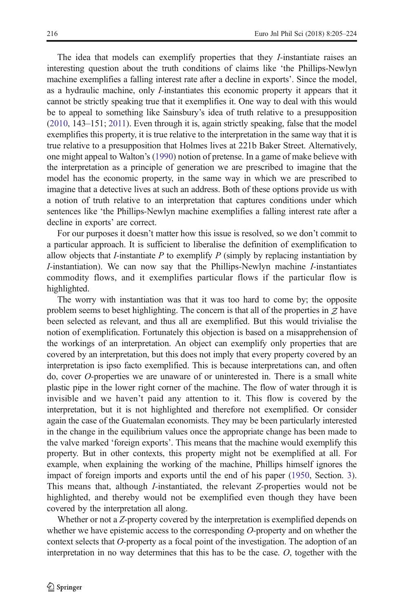The idea that models can exemplify properties that they I-instantiate raises an interesting question about the truth conditions of claims like 'the Phillips-Newlyn machine exemplifies a falling interest rate after a decline in exports'. Since the model, as a hydraulic machine, only I-instantiates this economic property it appears that it cannot be strictly speaking true that it exemplifies it. One way to deal with this would be to appeal to something like Sainsbury's idea of truth relative to a presupposition [\(2010,](#page-18-0) 143–151; [2011](#page-18-0)). Even through it is, again strictly speaking, false that the model exemplifies this property, it is true relative to the interpretation in the same way that it is true relative to a presupposition that Holmes lives at 221b Baker Street. Alternatively, one might appeal to Walton's ([1990](#page-19-0)) notion of pretense. In a game of make believe with the interpretation as a principle of generation we are prescribed to imagine that the model has the economic property, in the same way in which we are prescribed to imagine that a detective lives at such an address. Both of these options provide us with a notion of truth relative to an interpretation that captures conditions under which sentences like 'the Phillips-Newlyn machine exemplifies a falling interest rate after a decline in exports' are correct.

For our purposes it doesn't matter how this issue is resolved, so we don't commit to a particular approach. It is sufficient to liberalise the definition of exemplification to allow objects that *I*-instantiate  $P$  to exemplify  $P$  (simply by replacing instantiation by I-instantiation). We can now say that the Phillips-Newlyn machine I-instantiates commodity flows, and it exemplifies particular flows if the particular flow is highlighted.

The worry with instantiation was that it was too hard to come by; the opposite problem seems to beset highlighting. The concern is that all of the properties in  $Z$  have been selected as relevant, and thus all are exemplified. But this would trivialise the notion of exemplification. Fortunately this objection is based on a misapprehension of the workings of an interpretation. An object can exemplify only properties that are covered by an interpretation, but this does not imply that every property covered by an interpretation is ipso facto exemplified. This is because interpretations can, and often do, cover O-properties we are unaware of or uninterested in. There is a small white plastic pipe in the lower right corner of the machine. The flow of water through it is invisible and we haven't paid any attention to it. This flow is covered by the interpretation, but it is not highlighted and therefore not exemplified. Or consider again the case of the Guatemalan economists. They may be been particularly interested in the change in the equilibrium values once the appropriate change has been made to the valve marked 'foreign exports'. This means that the machine would exemplify this property. But in other contexts, this property might not be exemplified at all. For example, when explaining the working of the machine, Phillips himself ignores the impact of foreign imports and exports until the end of his paper [\(1950,](#page-18-0) Section. [3\)](#page-6-0). This means that, although I-instantiated, the relevant Z-properties would not be highlighted, and thereby would not be exemplified even though they have been covered by the interpretation all along.

Whether or not a Z-property covered by the interpretation is exemplified depends on whether we have epistemic access to the corresponding O-property and on whether the context selects that O-property as a focal point of the investigation. The adoption of an interpretation in no way determines that this has to be the case. O, together with the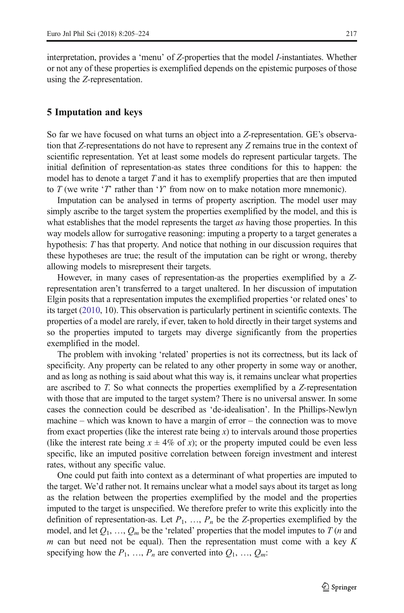<span id="page-12-0"></span>interpretation, provides a 'menu' of  $Z$ -properties that the model  $I$ -instantiates. Whether or not any of these properties is exemplified depends on the epistemic purposes of those using the Z-representation.

#### 5 Imputation and keys

So far we have focused on what turns an object into a Z-representation. GE's observation that Z-representations do not have to represent any Z remains true in the context of scientific representation. Yet at least some models do represent particular targets. The initial definition of representation-as states three conditions for this to happen: the model has to denote a target T and it has to exemplify properties that are then imputed to T (we write 'T' rather than 'Y' from now on to make notation more mnemonic).

Imputation can be analysed in terms of property ascription. The model user may simply ascribe to the target system the properties exemplified by the model, and this is what establishes that the model represents the target *as* having those properties. In this way models allow for surrogative reasoning: imputing a property to a target generates a hypothesis: T has that property. And notice that nothing in our discussion requires that these hypotheses are true; the result of the imputation can be right or wrong, thereby allowing models to misrepresent their targets.

However, in many cases of representation-as the properties exemplified by a Zrepresentation aren't transferred to a target unaltered. In her discussion of imputation Elgin posits that a representation imputes the exemplified properties 'or related ones' to its target [\(2010,](#page-18-0) 10). This observation is particularly pertinent in scientific contexts. The properties of a model are rarely, if ever, taken to hold directly in their target systems and so the properties imputed to targets may diverge significantly from the properties exemplified in the model.

The problem with invoking 'related' properties is not its correctness, but its lack of specificity. Any property can be related to any other property in some way or another, and as long as nothing is said about what this way is, it remains unclear what properties are ascribed to T. So what connects the properties exemplified by a Z-representation with those that are imputed to the target system? There is no universal answer. In some cases the connection could be described as 'de-idealisation'. In the Phillips-Newlyn machine – which was known to have a margin of error – the connection was to move from exact properties (like the interest rate being  $x$ ) to intervals around those properties (like the interest rate being  $x \pm 4\%$  of x); or the property imputed could be even less specific, like an imputed positive correlation between foreign investment and interest rates, without any specific value.

One could put faith into context as a determinant of what properties are imputed to the target. We'd rather not. It remains unclear what a model says about its target as long as the relation between the properties exemplified by the model and the properties imputed to the target is unspecified. We therefore prefer to write this explicitly into the definition of representation-as. Let  $P_1$ , ...,  $P_n$  be the Z-properties exemplified by the model, and let  $Q_1, ..., Q_m$  be the 'related' properties that the model imputes to T (*n* and m can but need not be equal). Then the representation must come with a key  $K$ specifying how the  $P_1, ..., P_n$  are converted into  $Q_1, ..., Q_m$ .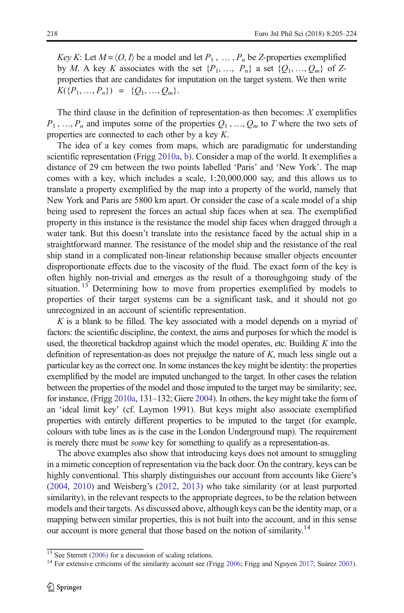Key K: Let  $M = \langle O, I \rangle$  be a model and let  $P_1, \ldots, P_n$  be Z-properties exemplified by M. A key K associates with the set  $\{P_1, ..., P_n\}$  a set  $\{Q_1, ..., Q_m\}$  of Zproperties that are candidates for imputation on the target system. We then write  $K({P_1, ..., P_n}) = {Q_1, ..., Q_m}.$ 

The third clause in the definition of representation-as then becomes:  $X$  exemplifies  $P_1, ..., P_n$  and imputes some of the properties  $Q_1, ..., Q_m$  to T where the two sets of properties are connected to each other by a key K.

The idea of a key comes from maps, which are paradigmatic for understanding scientific representation (Frigg [2010a,](#page-18-0) [b](#page-18-0)). Consider a map of the world. It exemplifies a distance of 29 cm between the two points labelled 'Paris' and 'New York'. The map comes with a key, which includes a scale, 1:20,000,000 say, and this allows us to translate a property exemplified by the map into a property of the world, namely that New York and Paris are 5800 km apart. Or consider the case of a scale model of a ship being used to represent the forces an actual ship faces when at sea. The exemplified property in this instance is the resistance the model ship faces when dragged through a water tank. But this doesn't translate into the resistance faced by the actual ship in a straightforward manner. The resistance of the model ship and the resistance of the real ship stand in a complicated non-linear relationship because smaller objects encounter disproportionate effects due to the viscosity of the fluid. The exact form of the key is often highly non-trivial and emerges as the result of a thoroughgoing study of the situation.<sup>13</sup> Determining how to move from properties exemplified by models to properties of their target systems can be a significant task, and it should not go unrecognized in an account of scientific representation.

 $K$  is a blank to be filled. The key associated with a model depends on a myriad of factors: the scientific discipline, the context, the aims and purposes for which the model is used, the theoretical backdrop against which the model operates, etc. Building  $K$  into the definition of representation-as does not prejudge the nature of  $K$ , much less single out a particular key as the correct one. In some instances the key might be identity: the properties exemplified by the model are imputed unchanged to the target. In other cases the relation between the properties of the model and those imputed to the target may be similarity; see, for instance, (Frigg [2010a](#page-18-0), 131–132; Giere [2004](#page-18-0)). In others, the key might take the form of an 'ideal limit key' (cf. Laymon 1991). But keys might also associate exemplified properties with entirely different properties to be imputed to the target (for example, colours with tube lines as is the case in the London Underground map). The requirement is merely there must be *some* key for something to qualify as a representation-as.

The above examples also show that introducing keys does not amount to smuggling in a mimetic conception of representation via the back door. On the contrary, keys can be highly conventional. This sharply distinguishes our account from accounts like Giere's [\(2004,](#page-18-0) [2010](#page-18-0)) and Weisberg's ([2012](#page-19-0), [2013\)](#page-19-0) who take similarity (or at least purported similarity), in the relevant respects to the appropriate degrees, to be the relation between models and their targets. As discussed above, although keys can be the identity map, or a mapping between similar properties, this is not built into the account, and in this sense our account is more general that those based on the notion of similarity.<sup>14</sup>

<sup>&</sup>lt;sup>13</sup> See Sterrett ([2006](#page-19-0)) for a discussion of scaling relations.<br><sup>14</sup> For extensive criticisms of the similarity account see (Frigg [2006;](#page-18-0) Frigg and Nguyen [2017;](#page-18-0) Suárez [2003\)](#page-19-0).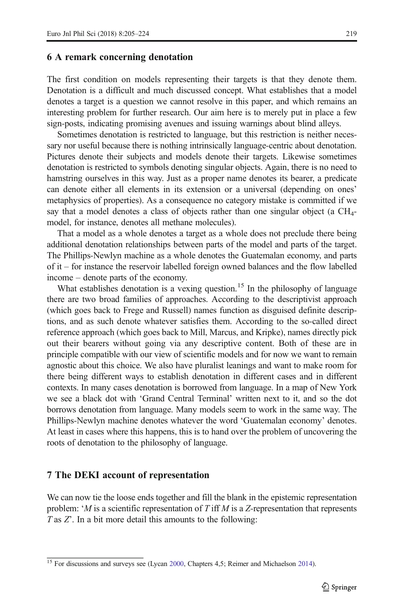#### <span id="page-14-0"></span>6 A remark concerning denotation

The first condition on models representing their targets is that they denote them. Denotation is a difficult and much discussed concept. What establishes that a model denotes a target is a question we cannot resolve in this paper, and which remains an interesting problem for further research. Our aim here is to merely put in place a few sign-posts, indicating promising avenues and issuing warnings about blind alleys.

Sometimes denotation is restricted to language, but this restriction is neither necessary nor useful because there is nothing intrinsically language-centric about denotation. Pictures denote their subjects and models denote their targets. Likewise sometimes denotation is restricted to symbols denoting singular objects. Again, there is no need to hamstring ourselves in this way. Just as a proper name denotes its bearer, a predicate can denote either all elements in its extension or a universal (depending on ones' metaphysics of properties). As a consequence no category mistake is committed if we say that a model denotes a class of objects rather than one singular object (a  $CH<sub>4</sub>$ model, for instance, denotes all methane molecules).

That a model as a whole denotes a target as a whole does not preclude there being additional denotation relationships between parts of the model and parts of the target. The Phillips-Newlyn machine as a whole denotes the Guatemalan economy, and parts of it – for instance the reservoir labelled foreign owned balances and the flow labelled income – denote parts of the economy.

What establishes denotation is a vexing question.<sup>15</sup> In the philosophy of language there are two broad families of approaches. According to the descriptivist approach (which goes back to Frege and Russell) names function as disguised definite descriptions, and as such denote whatever satisfies them. According to the so-called direct reference approach (which goes back to Mill, Marcus, and Kripke), names directly pick out their bearers without going via any descriptive content. Both of these are in principle compatible with our view of scientific models and for now we want to remain agnostic about this choice. We also have pluralist leanings and want to make room for there being different ways to establish denotation in different cases and in different contexts. In many cases denotation is borrowed from language. In a map of New York we see a black dot with 'Grand Central Terminal' written next to it, and so the dot borrows denotation from language. Many models seem to work in the same way. The Phillips-Newlyn machine denotes whatever the word 'Guatemalan economy' denotes. At least in cases where this happens, this is to hand over the problem of uncovering the roots of denotation to the philosophy of language.

#### 7 The DEKI account of representation

We can now tie the loose ends together and fill the blank in the epistemic representation problem: 'M is a scientific representation of T iff M is a Z-representation that represents  $T$  as  $Z'$ . In a bit more detail this amounts to the following:

<sup>&</sup>lt;sup>15</sup> For discussions and surveys see (Lycan [2000,](#page-18-0) Chapters 4,5; Reimer and Michaelson [2014\)](#page-18-0).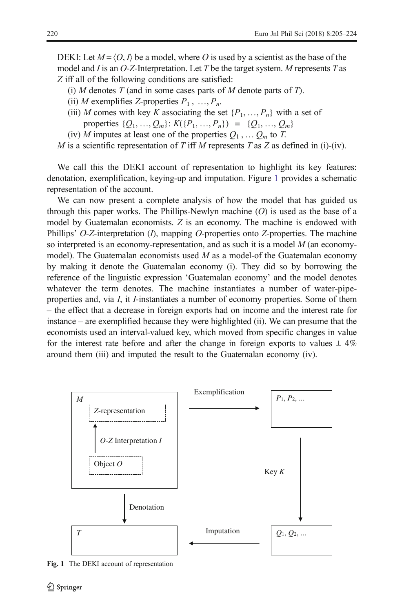DEKI: Let  $M = \langle O, I \rangle$  be a model, where O is used by a scientist as the base of the model and I is an O-Z-Interpretation. Let T be the target system. M represents T as Z iff all of the following conditions are satisfied:

- (i)  $M$  denotes  $T$  (and in some cases parts of  $M$  denote parts of  $T$ ).
- (ii) *M* exemplifies *Z*-properties  $P_1$ , ...,  $P_n$ .
- (iii) M comes with key K associating the set  $\{P_1, ..., P_n\}$  with a set of
	- properties  $\{Q_1, ..., Q_m\}$ :  $K(\{P_1, ..., P_n\}) = \{Q_1, ..., Q_m\}$
- (iv) M imputes at least one of the properties  $Q_1$ , ...  $Q_m$  to T.
- M is a scientific representation of T iff M represents T as Z as defined in (i)-(iv).

We call this the DEKI account of representation to highlight its key features: denotation, exemplification, keying-up and imputation. Figure 1 provides a schematic representation of the account.

We can now present a complete analysis of how the model that has guided us through this paper works. The Phillips-Newlyn machine  $(O)$  is used as the base of a model by Guatemalan economists. Z is an economy. The machine is endowed with Phillips' O-Z-interpretation (I), mapping O-properties onto Z-properties. The machine so interpreted is an economy-representation, and as such it is a model  $M$  (an economymodel). The Guatemalan economists used  $M$  as a model-of the Guatemalan economy by making it denote the Guatemalan economy (i). They did so by borrowing the reference of the linguistic expression 'Guatemalan economy' and the model denotes whatever the term denotes. The machine instantiates a number of water-pipeproperties and, via I, it I-instantiates a number of economy properties. Some of them – the effect that a decrease in foreign exports had on income and the interest rate for instance – are exemplified because they were highlighted (ii). We can presume that the economists used an interval-valued key, which moved from specific changes in value for the interest rate before and after the change in foreign exports to values  $\pm$  4% around them (iii) and imputed the result to the Guatemalan economy (iv).



Fig. 1 The DEKI account of representation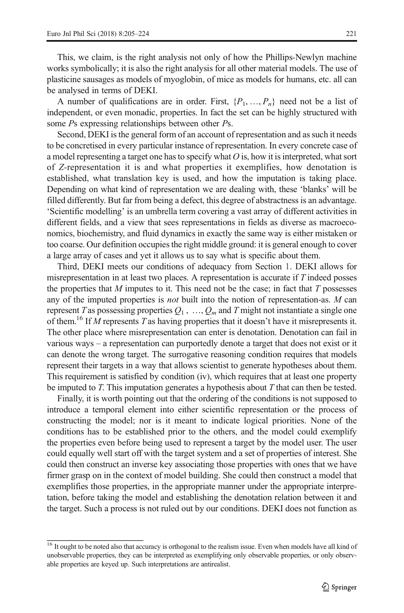This, we claim, is the right analysis not only of how the Phillips-Newlyn machine works symbolically; it is also the right analysis for all other material models. The use of plasticine sausages as models of myoglobin, of mice as models for humans, etc. all can be analysed in terms of DEKI.

A number of qualifications are in order. First,  $\{P_1, ..., P_n\}$  need not be a list of independent, or even monadic, properties. In fact the set can be highly structured with some Ps expressing relationships between other Ps.

Second, DEKI is the general form of an account of representation and as such it needs to be concretised in every particular instance of representation. In every concrete case of a model representing a target one has to specify what  $O$  is, how it is interpreted, what sort of Z-representation it is and what properties it exemplifies, how denotation is established, what translation key is used, and how the imputation is taking place. Depending on what kind of representation we are dealing with, these 'blanks' will be filled differently. But far from being a defect, this degree of abstractness is an advantage. 'Scientific modelling' is an umbrella term covering a vast array of different activities in different fields, and a view that sees representations in fields as diverse as macroeconomics, biochemistry, and fluid dynamics in exactly the same way is either mistaken or too coarse. Our definition occupies the right middle ground: it is general enough to cover a large array of cases and yet it allows us to say what is specific about them.

Third, DEKI meets our conditions of adequacy from Section [1](#page-0-0). DEKI allows for misrepresentation in at least two places. A representation is accurate if T indeed posses the properties that  $M$  imputes to it. This need not be the case; in fact that  $T$  possesses any of the imputed properties is not built into the notion of representation-as. M can represent T as possessing properties  $Q_1$ , ...,  $Q_m$  and T might not instantiate a single one of them.<sup>16</sup> If M represents T as having properties that it doesn't have it misrepresents it. The other place where misrepresentation can enter is denotation. Denotation can fail in various ways – a representation can purportedly denote a target that does not exist or it can denote the wrong target. The surrogative reasoning condition requires that models represent their targets in a way that allows scientist to generate hypotheses about them. This requirement is satisfied by condition (iv), which requires that at least one property be imputed to T. This imputation generates a hypothesis about T that can then be tested.

Finally, it is worth pointing out that the ordering of the conditions is not supposed to introduce a temporal element into either scientific representation or the process of constructing the model; nor is it meant to indicate logical priorities. None of the conditions has to be established prior to the others, and the model could exemplify the properties even before being used to represent a target by the model user. The user could equally well start off with the target system and a set of properties of interest. She could then construct an inverse key associating those properties with ones that we have firmer grasp on in the context of model building. She could then construct a model that exemplifies those properties, in the appropriate manner under the appropriate interpretation, before taking the model and establishing the denotation relation between it and the target. Such a process is not ruled out by our conditions. DEKI does not function as

 $\frac{16}{16}$  It ought to be noted also that accuracy is orthogonal to the realism issue. Even when models have all kind of unobservable properties, they can be interpreted as exemplifying only observable properties, or only observable properties are keyed up. Such interpretations are antirealist.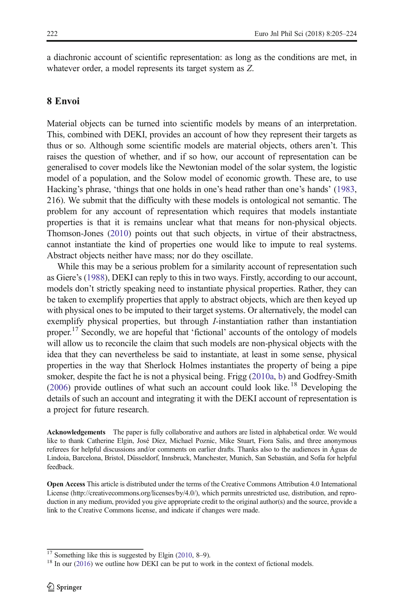<span id="page-17-0"></span>a diachronic account of scientific representation: as long as the conditions are met, in whatever order, a model represents its target system as Z.

## 8 Envoi

Material objects can be turned into scientific models by means of an interpretation. This, combined with DEKI, provides an account of how they represent their targets as thus or so. Although some scientific models are material objects, others aren't. This raises the question of whether, and if so how, our account of representation can be generalised to cover models like the Newtonian model of the solar system, the logistic model of a population, and the Solow model of economic growth. These are, to use Hacking's phrase, 'things that one holds in one's head rather than one's hands' [\(1983,](#page-18-0) 216). We submit that the difficulty with these models is ontological not semantic. The problem for any account of representation which requires that models instantiate properties is that it is remains unclear what that means for non-physical objects. Thomson-Jones [\(2010\)](#page-19-0) points out that such objects, in virtue of their abstractness, cannot instantiate the kind of properties one would like to impute to real systems. Abstract objects neither have mass; nor do they oscillate.

While this may be a serious problem for a similarity account of representation such as Giere's [\(1988\)](#page-18-0), DEKI can reply to this in two ways. Firstly, according to our account, models don't strictly speaking need to instantiate physical properties. Rather, they can be taken to exemplify properties that apply to abstract objects, which are then keyed up with physical ones to be imputed to their target systems. Or alternatively, the model can exemplify physical properties, but through I-instantiation rather than instantiation proper.<sup>17</sup> Secondly, we are hopeful that 'fictional' accounts of the ontology of models will allow us to reconcile the claim that such models are non-physical objects with the idea that they can nevertheless be said to instantiate, at least in some sense, physical properties in the way that Sherlock Holmes instantiates the property of being a pipe smoker, despite the fact he is not a physical being. Frigg [\(2010a,](#page-18-0) [b\)](#page-18-0) and Godfrey-Smith  $(2006)$  provide outlines of what such an account could look like.<sup>18</sup> Developing the details of such an account and integrating it with the DEKI account of representation is a project for future research.

Acknowledgements The paper is fully collaborative and authors are listed in alphabetical order. We would like to thank Catherine Elgin, José Díez, Michael Poznic, Mike Stuart, Fiora Salis, and three anonymous referees for helpful discussions and/or comments on earlier drafts. Thanks also to the audiences in Águas de Lindoia, Barcelona, Bristol, Düsseldorf, Innsbruck, Manchester, Munich, San Sebastián, and Sofia for helpful feedback.

Open Access This article is distributed under the terms of the Creative Commons Attribution 4.0 International License (http://creativecommons.org/licenses/by/4.0/), which permits unrestricted use, distribution, and reproduction in any medium, provided you give appropriate credit to the original author(s) and the source, provide a link to the Creative Commons license, and indicate if changes were made.

<sup>&</sup>lt;sup>17</sup> Something like this is suggested by Elgin [\(2010,](#page-18-0) 8–9).<br><sup>18</sup> In our [\(2016](#page-18-0)) we outline how DEKI can be put to work in the context of fictional models.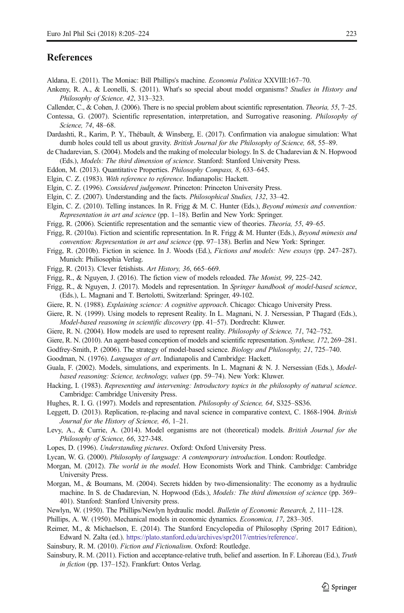## <span id="page-18-0"></span>**References**

Aldana, E. (2011). The Moniac: Bill Phillips's machine. Economia Politica XXVIII:167–70.

- Ankeny, R. A., & Leonelli, S. (2011). What's so special about model organisms? Studies in History and Philosophy of Science, 42, 313–323.
- Callender, C., & Cohen, J. (2006). There is no special problem about scientific representation. *Theoria*, 55, 7–25.
- Contessa, G. (2007). Scientific representation, interpretation, and Surrogative reasoning. Philosophy of Science, 74, 48–68.
- Dardashti, R., Karim, P. Y., Thébault, & Winsberg, E. (2017). Confirmation via analogue simulation: What dumb holes could tell us about gravity. British Journal for the Philosophy of Science, 68, 55–89.
- de Chadarevian, S. (2004). Models and the making of molecular biology. In S. de Chadarevian & N. Hopwood (Eds.), Models: The third dimension of science. Stanford: Stanford University Press.
- Eddon, M. (2013). Quantitative Properties. Philosophy Compass, 8, 633–645.
- Elgin, C. Z. (1983). With reference to reference. Indianapolis: Hackett.
- Elgin, C. Z. (1996). Considered judgement. Princeton: Princeton University Press.
- Elgin, C. Z. (2007). Understanding and the facts. Philosophical Studies, 132, 33–42.
- Elgin, C. Z. (2010). Telling instances. In R. Frigg & M. C. Hunter (Eds.), Beyond mimesis and convention: Representation in art and science (pp. 1–18). Berlin and New York: Springer.
- Frigg, R. (2006). Scientific representation and the semantic view of theories. *Theoria*, 55, 49–65.
- Frigg, R. (2010a). Fiction and scientific representation. In R. Frigg & M. Hunter (Eds.), Beyond mimesis and convention: Representation in art and science (pp. 97–138). Berlin and New York: Springer.
- Frigg, R. (2010b). Fiction in science. In J. Woods (Ed.), Fictions and models: New essays (pp. 247–287). Munich: Philiosophia Verlag.
- Frigg, R. (2013). Clever fetishists. Art History, 36, 665–669.
- Frigg, R., & Nguyen, J. (2016). The fiction view of models reloaded. The Monist, 99, 225–242.
- Frigg, R., & Nguyen, J. (2017). Models and representation. In Springer handbook of model-based science, (Eds.), L. Magnani and T. Bertolotti, Switzerland: Springer, 49-102.
- Giere, R. N. (1988). Explaining science: A cognitive approach. Chicago: Chicago University Press.
- Giere, R. N. (1999). Using models to represent Reality. In L. Magnani, N. J. Nersessian, P Thagard (Eds.), Model-based reasoning in scientific discovery (pp. 41–57). Dordrecht: Kluwer.
- Giere, R. N. (2004). How models are used to represent reality. *Philosophy of Science*, 71, 742–752.
- Giere, R. N. (2010). An agent-based conception of models and scientific representation. Synthese, 172, 269–281.
- Godfrey-Smith, P. (2006). The strategy of model-based science. Biology and Philosophy, 21, 725–740.
- Goodman, N. (1976). Languages of art. Indianapolis and Cambridge: Hackett.
- Guala, F. (2002). Models, simulations, and experiments. In L. Magnani & N. J. Nersessian (Eds.), *Model*based reasoning: Science, technology, values (pp. 59–74). New York: Kluwer.
- Hacking, I. (1983). Representing and intervening: Introductory topics in the philosophy of natural science. Cambridge: Cambridge University Press.
- Hughes, R. I. G. (1997). Models and representation. Philosophy of Science, 64, S325-SS36.
- Leggett, D. (2013). Replication, re-placing and naval science in comparative context, C. 1868-1904. British Journal for the History of Science, 46, 1–21.
- Levy, A., & Currie, A. (2014). Model organisms are not (theoretical) models. *British Journal for the* Philosophy of Science, 66, 327-348.
- Lopes, D. (1996). Understanding pictures. Oxford: Oxford University Press.
- Lycan, W. G. (2000). Philosophy of language: A contemporary introduction. London: Routledge.
- Morgan, M. (2012). The world in the model. How Economists Work and Think. Cambridge: Cambridge University Press.
- Morgan, M., & Boumans, M. (2004). Secrets hidden by two-dimensionality: The economy as a hydraulic machine. In S. de Chadarevian, N. Hopwood (Eds.), *Models: The third dimension of science* (pp. 369– 401). Stanford: Stanford University press.
- Newlyn, W. (1950). The Phillips/Newlyn hydraulic model. Bulletin of Economic Research, 2, 111–128.
- Phillips, A. W. (1950). Mechanical models in economic dynamics. Economica, 17, 283–305.
- Reimer, M., & Michaelson, E. (2014). The Stanford Encyclopedia of Philosophy (Spring 2017 Edition), Edward N. Zalta (ed.). <https://plato.stanford.edu/archives/spr2017/entries/reference/>.
- Sainsbury, R. M. (2010). Fiction and Fictionalism. Oxford: Routledge.
- Sainsbury, R. M. (2011). Fiction and acceptance-relative truth, belief and assertion. In F. Lihoreau (Ed.), Truth in fiction (pp. 137–152). Frankfurt: Ontos Verlag.